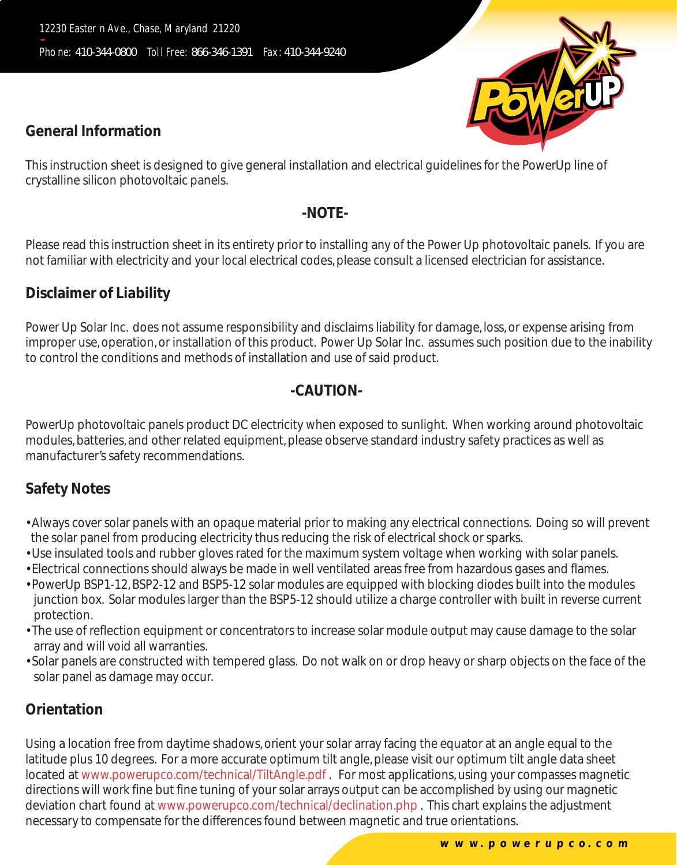## **General Information**

This instruction sheet is designed to give general installation and electrical guidelines for the PowerUp line of crystalline silicon photovoltaic panels.

#### **-NOTE-**

Please read this instruction sheet in its entirety prior to installing any of the Power Up photovoltaic panels. If you are not familiar with electricity and your local electrical codes, please consult a licensed electrician for assistance.

# **Disclaimer of Liability**

Power Up Solar Inc. does not assume responsibility and disclaims liability for damage, loss, or expense arising from improper use, operation, or installation of this product. Power Up Solar Inc. assumes such position due to the inability to control the conditions and methods of installation and use of said product.

### **-CAUTION-**

PowerUp photovoltaic panels product DC electricity when exposed to sunlight. When working around photovoltaic modules, batteries, and other related equipment, please observe standard industry safety practices as well as manufacturer's safety recommendations.

# **Safety Notes**

- Always cover solar panels with an opaque material prior to making any electrical connections. Doing so will prevent the solar panel from producing electricity thus reducing the risk of electrical shock or sparks.
- Use insulated tools and rubber gloves rated for the maximum system voltage when working with solar panels.
- Electrical connections should always be made in well ventilated areas free from hazardous gases and flames.
- PowerUp BSP1-12, BSP2-12 and BSP5-12 solar modules are equipped with blocking diodes built into the modules junction box. Solar modules larger than the BSP5-12 should utilize a charge controller with built in reverse current protection.
- The use of reflection equipment or concentrators to increase solar module output may cause damage to the solar array and will void all warranties.
- Solar panels are constructed with tempered glass. Do not walk on or drop heavy or sharp objects on the face of the solar panel as damage may occur.

# **Orientation**

Using a location free from daytime shadows, orient your solar array facing the equator at an angle equal to the latitude plus 10 degrees. For a more accurate optimum tilt angle, please visit our optimum tilt angle data sheet located at www.powerupco.com/technical/TiltAngle.pdf . For most applications, using your compasses magnetic directions will work fine but fine tuning of your solar arrays output can be accomplished by using our magnetic deviation chart found at www.powerupco.com/technical/declination.php . This chart explains the adjustment necessary to compensate for the differences found between magnetic and true orientations.